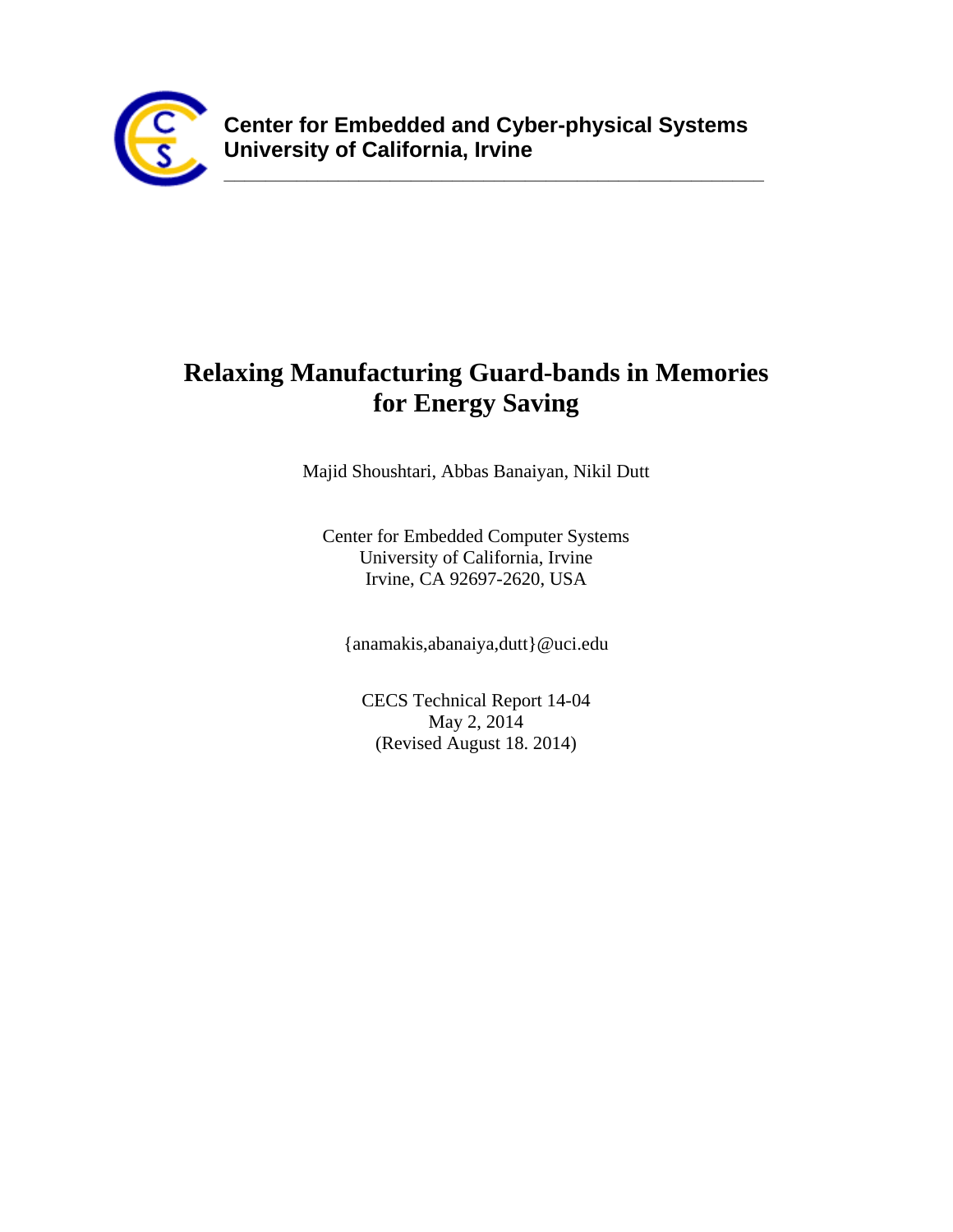

**\_\_\_\_\_\_\_\_\_\_\_\_\_\_\_\_\_\_\_\_\_\_\_\_\_\_\_\_\_\_\_\_\_\_\_\_\_\_\_\_\_\_\_\_\_\_\_\_\_\_\_\_**

# **Relaxing Manufacturing Guard-bands in Memories for Energy Saving**

Majid Shoushtari, Abbas Banaiyan, Nikil Dutt

Center for Embedded Computer Systems University of California, Irvine Irvine, CA 92697-2620, USA

{anamakis,abanaiya,dutt}@uci.edu

CECS Technical Report 14-04 May 2, 2014 (Revised August 18. 2014)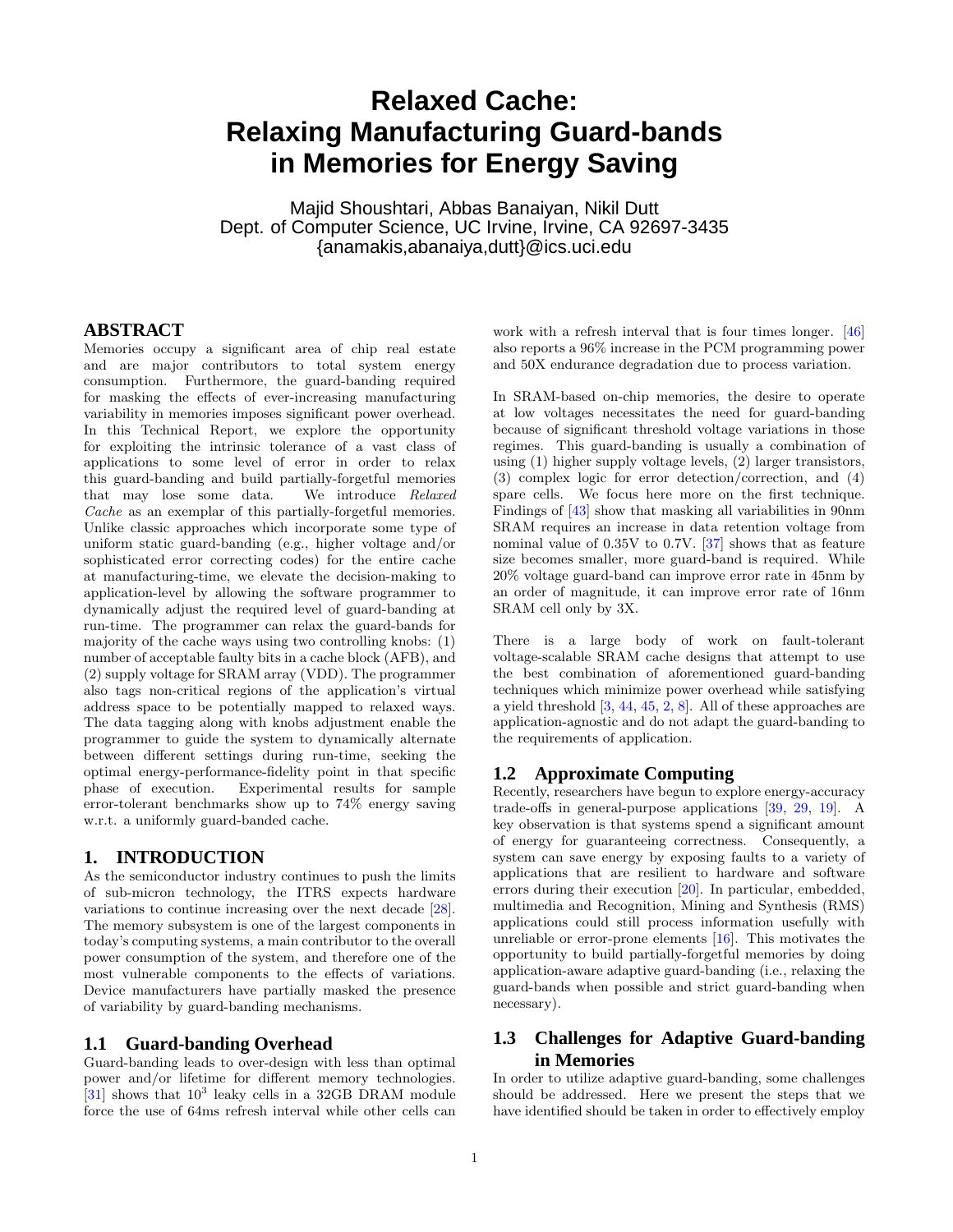# **Relaxed Cache: Relaxing Manufacturing Guard-bands in Memories for Energy Saving**

Majid Shoushtari, Abbas Banaiyan, Nikil Dutt Dept. of Computer Science, UC Irvine, Irvine, CA 92697-3435 {anamakis,abanaiya,dutt}@ics.uci.edu

# **ABSTRACT**

Memories occupy a significant area of chip real estate and are major contributors to total system energy consumption. Furthermore, the guard-banding required for masking the effects of ever-increasing manufacturing variability in memories imposes significant power overhead. In this Technical Report, we explore the opportunity for exploiting the intrinsic tolerance of a vast class of applications to some level of error in order to relax this guard-banding and build partially-forgetful memories that may lose some data. We introduce Relaxed Cache as an exemplar of this partially-forgetful memories. Unlike classic approaches which incorporate some type of uniform static guard-banding (e.g., higher voltage and/or sophisticated error correcting codes) for the entire cache at manufacturing-time, we elevate the decision-making to application-level by allowing the software programmer to dynamically adjust the required level of guard-banding at run-time. The programmer can relax the guard-bands for majority of the cache ways using two controlling knobs: (1) number of acceptable faulty bits in a cache block (AFB), and (2) supply voltage for SRAM array (VDD). The programmer also tags non-critical regions of the application's virtual address space to be potentially mapped to relaxed ways. The data tagging along with knobs adjustment enable the programmer to guide the system to dynamically alternate between different settings during run-time, seeking the optimal energy-performance-fidelity point in that specific phase of execution. Experimental results for sample error-tolerant benchmarks show up to 74% energy saving w.r.t. a uniformly guard-banded cache.

# **1. INTRODUCTION**

As the semiconductor industry continues to push the limits of sub-micron technology, the ITRS expects hardware variations to continue increasing over the next decade [\[28\]](#page-10-0). The memory subsystem is one of the largest components in today's computing systems, a main contributor to the overall power consumption of the system, and therefore one of the most vulnerable components to the effects of variations. Device manufacturers have partially masked the presence of variability by guard-banding mechanisms.

# **1.1 Guard-banding Overhead**

Guard-banding leads to over-design with less than optimal power and/or lifetime for different memory technologies.  $\left[31\right]$  shows that  $10^3$  leaky cells in a 32GB DRAM module force the use of 64ms refresh interval while other cells can

work with a refresh interval that is four times longer. [\[46](#page-10-2)] also reports a 96% increase in the PCM programming power and 50X endurance degradation due to process variation.

In SRAM-based on-chip memories, the desire to operate at low voltages necessitates the need for guard-banding because of significant threshold voltage variations in those regimes. This guard-banding is usually a combination of using (1) higher supply voltage levels, (2) larger transistors, (3) complex logic for error detection/correction, and (4) spare cells. We focus here more on the first technique. Findings of [\[43\]](#page-10-3) show that masking all variabilities in 90nm SRAM requires an increase in data retention voltage from nominal value of 0.35V to 0.7V. [\[37\]](#page-10-4) shows that as feature size becomes smaller, more guard-band is required. While 20% voltage guard-band can improve error rate in 45nm by an order of magnitude, it can improve error rate of 16nm SRAM cell only by 3X.

There is a large body of work on fault-tolerant voltage-scalable SRAM cache designs that attempt to use the best combination of aforementioned guard-banding techniques which minimize power overhead while satisfying a yield threshold [\[3,](#page-10-5) [44,](#page-10-6) [45](#page-10-7), [2,](#page-10-8) [8](#page-10-9)]. All of these approaches are application-agnostic and do not adapt the guard-banding to the requirements of application.

# **1.2 Approximate Computing**

Recently, researchers have begun to explore energy-accuracy trade-offs in general-purpose applications [\[39](#page-10-10), [29](#page-10-11), [19\]](#page-10-12). A key observation is that systems spend a significant amount of energy for guaranteeing correctness. Consequently, a system can save energy by exposing faults to a variety of applications that are resilient to hardware and software errors during their execution [\[20](#page-10-13)]. In particular, embedded, multimedia and Recognition, Mining and Synthesis (RMS) applications could still process information usefully with unreliable or error-prone elements [\[16\]](#page-10-14). This motivates the opportunity to build partially-forgetful memories by doing application-aware adaptive guard-banding (i.e., relaxing the guard-bands when possible and strict guard-banding when necessary).

# **1.3 Challenges for Adaptive Guard-banding in Memories**

In order to utilize adaptive guard-banding, some challenges should be addressed. Here we present the steps that we have identified should be taken in order to effectively employ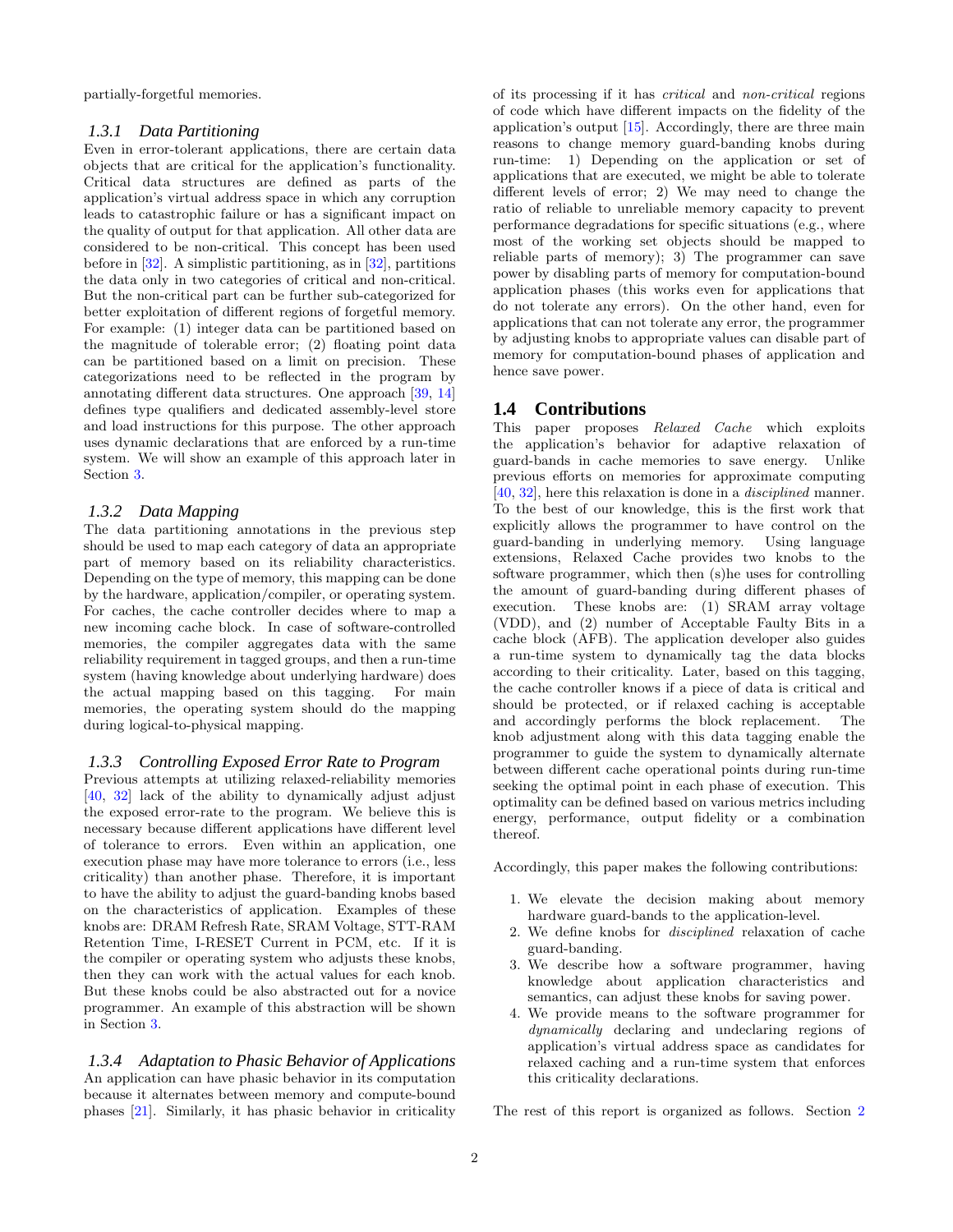partially-forgetful memories.

## *1.3.1 Data Partitioning*

Even in error-tolerant applications, there are certain data objects that are critical for the application's functionality. Critical data structures are defined as parts of the application's virtual address space in which any corruption leads to catastrophic failure or has a significant impact on the quality of output for that application. All other data are considered to be non-critical. This concept has been used before in [\[32\]](#page-10-15). A simplistic partitioning, as in [\[32](#page-10-15)], partitions the data only in two categories of critical and non-critical. But the non-critical part can be further sub-categorized for better exploitation of different regions of forgetful memory. For example: (1) integer data can be partitioned based on the magnitude of tolerable error; (2) floating point data can be partitioned based on a limit on precision. These categorizations need to be reflected in the program by annotating different data structures. One approach [\[39](#page-10-10), [14](#page-10-16)] defines type qualifiers and dedicated assembly-level store and load instructions for this purpose. The other approach uses dynamic declarations that are enforced by a run-time system. We will show an example of this approach later in Section [3.](#page-3-0)

## *1.3.2 Data Mapping*

The data partitioning annotations in the previous step should be used to map each category of data an appropriate part of memory based on its reliability characteristics. Depending on the type of memory, this mapping can be done by the hardware, application/compiler, or operating system. For caches, the cache controller decides where to map a new incoming cache block. In case of software-controlled memories, the compiler aggregates data with the same reliability requirement in tagged groups, and then a run-time system (having knowledge about underlying hardware) does the actual mapping based on this tagging. For main memories, the operating system should do the mapping during logical-to-physical mapping.

### *1.3.3 Controlling Exposed Error Rate to Program*

Previous attempts at utilizing relaxed-reliability memories [\[40,](#page-10-17) [32](#page-10-15)] lack of the ability to dynamically adjust adjust the exposed error-rate to the program. We believe this is necessary because different applications have different level of tolerance to errors. Even within an application, one execution phase may have more tolerance to errors (i.e., less criticality) than another phase. Therefore, it is important to have the ability to adjust the guard-banding knobs based on the characteristics of application. Examples of these knobs are: DRAM Refresh Rate, SRAM Voltage, STT-RAM Retention Time, I-RESET Current in PCM, etc. If it is the compiler or operating system who adjusts these knobs, then they can work with the actual values for each knob. But these knobs could be also abstracted out for a novice programmer. An example of this abstraction will be shown in Section [3.](#page-3-0)

*1.3.4 Adaptation to Phasic Behavior of Applications* An application can have phasic behavior in its computation because it alternates between memory and compute-bound phases [\[21\]](#page-10-18). Similarly, it has phasic behavior in criticality of its processing if it has critical and non-critical regions of code which have different impacts on the fidelity of the application's output [\[15](#page-10-19)]. Accordingly, there are three main reasons to change memory guard-banding knobs during run-time: 1) Depending on the application or set of applications that are executed, we might be able to tolerate different levels of error; 2) We may need to change the ratio of reliable to unreliable memory capacity to prevent performance degradations for specific situations (e.g., where most of the working set objects should be mapped to reliable parts of memory); 3) The programmer can save power by disabling parts of memory for computation-bound application phases (this works even for applications that do not tolerate any errors). On the other hand, even for applications that can not tolerate any error, the programmer by adjusting knobs to appropriate values can disable part of memory for computation-bound phases of application and hence save power.

## **1.4 Contributions**

This paper proposes Relaxed Cache which exploits the application's behavior for adaptive relaxation of guard-bands in cache memories to save energy. Unlike previous efforts on memories for approximate computing [\[40,](#page-10-17) [32\]](#page-10-15), here this relaxation is done in a disciplined manner. To the best of our knowledge, this is the first work that explicitly allows the programmer to have control on the guard-banding in underlying memory. Using language extensions, Relaxed Cache provides two knobs to the software programmer, which then (s)he uses for controlling the amount of guard-banding during different phases of execution. These knobs are: (1) SRAM array voltage (VDD), and (2) number of Acceptable Faulty Bits in a cache block (AFB). The application developer also guides a run-time system to dynamically tag the data blocks according to their criticality. Later, based on this tagging, the cache controller knows if a piece of data is critical and should be protected, or if relaxed caching is acceptable and accordingly performs the block replacement. The knob adjustment along with this data tagging enable the programmer to guide the system to dynamically alternate between different cache operational points during run-time seeking the optimal point in each phase of execution. This optimality can be defined based on various metrics including energy, performance, output fidelity or a combination thereof.

Accordingly, this paper makes the following contributions:

- 1. We elevate the decision making about memory hardware guard-bands to the application-level.
- 2. We define knobs for disciplined relaxation of cache guard-banding.
- 3. We describe how a software programmer, having knowledge about application characteristics and semantics, can adjust these knobs for saving power.
- 4. We provide means to the software programmer for dynamically declaring and undeclaring regions of application's virtual address space as candidates for relaxed caching and a run-time system that enforces this criticality declarations.

The rest of this report is organized as follows. Section [2](#page-3-1)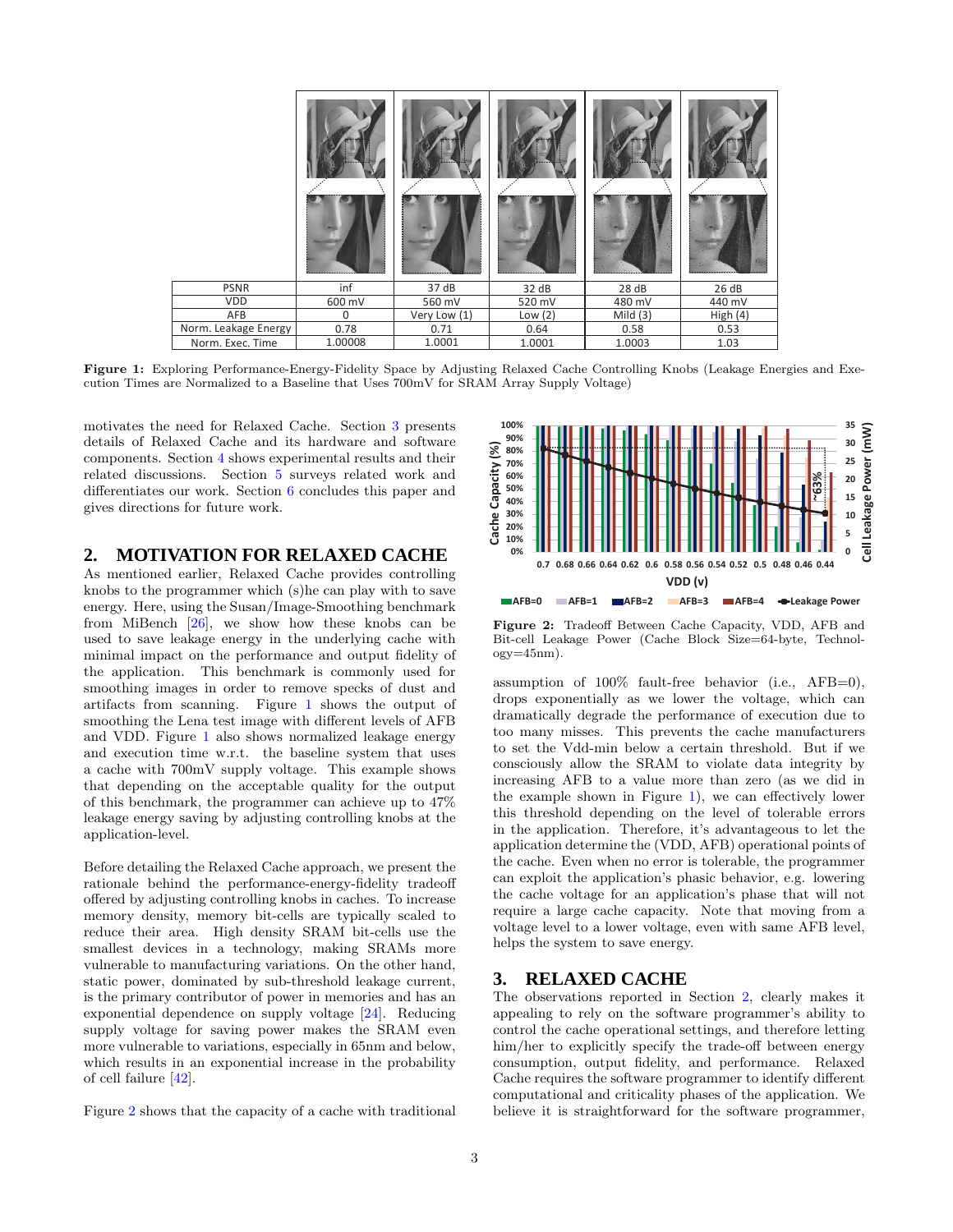<span id="page-3-2"></span>

| <b>PSNR</b>          | inf      | 37 dB        | 32 dB     | 28 dB      | 26 dB    |
|----------------------|----------|--------------|-----------|------------|----------|
| VDD                  | 600 mV   | 560 mV       | 520 mV    | 480 mV     | 440 mV   |
| AFB                  | $\Omega$ | Very Low (1) | Low $(2)$ | Mild $(3)$ | High (4) |
| Norm. Leakage Energy | 0.78     | 0.71         | 0.64      | 0.58       | 0.53     |
| Norm. Exec. Time     | 1.00008  | 1.0001       | 1.0001    | 1.0003     | 1.03     |

Figure 1: Exploring Performance-Energy-Fidelity Space by Adjusting Relaxed Cache Controlling Knobs (Leakage Energies and Execution Times are Normalized to a Baseline that Uses 700mV for SRAM Array Supply Voltage)

motivates the need for Relaxed Cache. Section [3](#page-3-0) presents details of Relaxed Cache and its hardware and software components. Section [4](#page-6-0) shows experimental results and their related discussions. Section [5](#page-8-0) surveys related work and differentiates our work. Section [6](#page-10-20) concludes this paper and gives directions for future work.

# <span id="page-3-1"></span>**2. MOTIVATION FOR RELAXED CACHE**

As mentioned earlier, Relaxed Cache provides controlling knobs to the programmer which (s)he can play with to save energy. Here, using the Susan/Image-Smoothing benchmark from MiBench [\[26\]](#page-10-21), we show how these knobs can be used to save leakage energy in the underlying cache with minimal impact on the performance and output fidelity of the application. This benchmark is commonly used for smoothing images in order to remove specks of dust and artifacts from scanning. Figure [1](#page-3-2) shows the output of smoothing the Lena test image with different levels of AFB and VDD. Figure [1](#page-3-2) also shows normalized leakage energy and execution time w.r.t. the baseline system that uses a cache with 700mV supply voltage. This example shows that depending on the acceptable quality for the output of this benchmark, the programmer can achieve up to 47% leakage energy saving by adjusting controlling knobs at the application-level.

Before detailing the Relaxed Cache approach, we present the rationale behind the performance-energy-fidelity tradeoff offered by adjusting controlling knobs in caches. To increase memory density, memory bit-cells are typically scaled to reduce their area. High density SRAM bit-cells use the smallest devices in a technology, making SRAMs more vulnerable to manufacturing variations. On the other hand, static power, dominated by sub-threshold leakage current, is the primary contributor of power in memories and has an exponential dependence on supply voltage [\[24](#page-10-22)]. Reducing supply voltage for saving power makes the SRAM even more vulnerable to variations, especially in 65nm and below, which results in an exponential increase in the probability of cell failure [\[42\]](#page-10-23).

Figure [2](#page-3-3) shows that the capacity of a cache with traditional

<span id="page-3-3"></span>

Figure 2: Tradeoff Between Cache Capacity, VDD, AFB and Bit-cell Leakage Power (Cache Block Size=64-byte, Technol $ogy=45nm$ ).

assumption of 100% fault-free behavior (i.e., AFB=0), drops exponentially as we lower the voltage, which can dramatically degrade the performance of execution due to too many misses. This prevents the cache manufacturers to set the Vdd-min below a certain threshold. But if we consciously allow the SRAM to violate data integrity by increasing AFB to a value more than zero (as we did in the example shown in Figure [1\)](#page-3-2), we can effectively lower this threshold depending on the level of tolerable errors in the application. Therefore, it's advantageous to let the application determine the (VDD, AFB) operational points of the cache. Even when no error is tolerable, the programmer can exploit the application's phasic behavior, e.g. lowering the cache voltage for an application's phase that will not require a large cache capacity. Note that moving from a voltage level to a lower voltage, even with same AFB level, helps the system to save energy.

# <span id="page-3-0"></span>**3. RELAXED CACHE**

The observations reported in Section [2,](#page-3-1) clearly makes it appealing to rely on the software programmer's ability to control the cache operational settings, and therefore letting him/her to explicitly specify the trade-off between energy consumption, output fidelity, and performance. Relaxed Cache requires the software programmer to identify different computational and criticality phases of the application. We believe it is straightforward for the software programmer,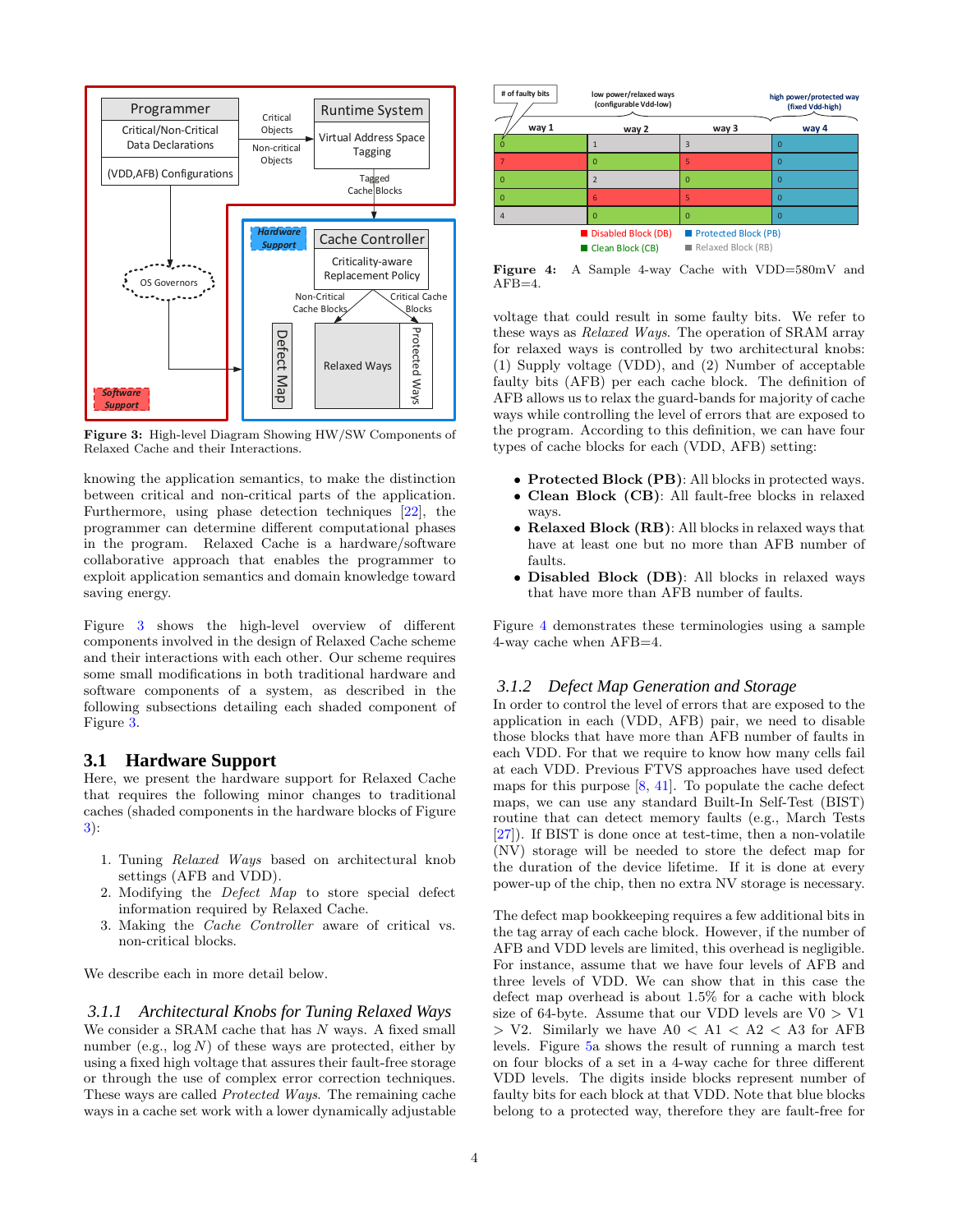<span id="page-4-0"></span>

Figure 3: High-level Diagram Showing HW/SW Components of Relaxed Cache and their Interactions.

knowing the application semantics, to make the distinction between critical and non-critical parts of the application. Furthermore, using phase detection techniques [\[22\]](#page-10-24), the programmer can determine different computational phases in the program. Relaxed Cache is a hardware/software collaborative approach that enables the programmer to exploit application semantics and domain knowledge toward saving energy.

Figure [3](#page-4-0) shows the high-level overview of different components involved in the design of Relaxed Cache scheme and their interactions with each other. Our scheme requires some small modifications in both traditional hardware and software components of a system, as described in the following subsections detailing each shaded component of Figure [3.](#page-4-0)

## **3.1 Hardware Support**

Here, we present the hardware support for Relaxed Cache that requires the following minor changes to traditional caches (shaded components in the hardware blocks of Figure [3\)](#page-4-0):

- 1. Tuning Relaxed Ways based on architectural knob settings (AFB and VDD).
- 2. Modifying the Defect Map to store special defect information required by Relaxed Cache.
- 3. Making the Cache Controller aware of critical vs. non-critical blocks.

We describe each in more detail below.

*3.1.1 Architectural Knobs for Tuning Relaxed Ways* We consider a SRAM cache that has  $N$  ways. A fixed small number (e.g.,  $log N$ ) of these ways are protected, either by using a fixed high voltage that assures their fault-free storage or through the use of complex error correction techniques. These ways are called Protected Ways. The remaining cache ways in a cache set work with a lower dynamically adjustable

<span id="page-4-1"></span>

Figure 4: A Sample 4-way Cache with VDD=580mV and  $AFB=4.$ 

voltage that could result in some faulty bits. We refer to these ways as Relaxed Ways. The operation of SRAM array for relaxed ways is controlled by two architectural knobs: (1) Supply voltage (VDD), and (2) Number of acceptable faulty bits (AFB) per each cache block. The definition of AFB allows us to relax the guard-bands for majority of cache ways while controlling the level of errors that are exposed to the program. According to this definition, we can have four types of cache blocks for each (VDD, AFB) setting:

- Protected Block (PB): All blocks in protected ways.
- Clean Block (CB): All fault-free blocks in relaxed ways.
- Relaxed Block (RB): All blocks in relaxed ways that have at least one but no more than AFB number of faults.
- Disabled Block (DB): All blocks in relaxed ways that have more than AFB number of faults.

Figure [4](#page-4-1) demonstrates these terminologies using a sample 4-way cache when AFB=4.

### *3.1.2 Defect Map Generation and Storage*

In order to control the level of errors that are exposed to the application in each (VDD, AFB) pair, we need to disable those blocks that have more than AFB number of faults in each VDD. For that we require to know how many cells fail at each VDD. Previous FTVS approaches have used defect maps for this purpose [\[8](#page-10-9), [41\]](#page-10-25). To populate the cache defect maps, we can use any standard Built-In Self-Test (BIST) routine that can detect memory faults (e.g., March Tests [\[27\]](#page-10-26)). If BIST is done once at test-time, then a non-volatile (NV) storage will be needed to store the defect map for the duration of the device lifetime. If it is done at every power-up of the chip, then no extra NV storage is necessary.

The defect map bookkeeping requires a few additional bits in the tag array of each cache block. However, if the number of AFB and VDD levels are limited, this overhead is negligible. For instance, assume that we have four levels of AFB and three levels of VDD. We can show that in this case the defect map overhead is about 1.5% for a cache with block size of 64-byte. Assume that our VDD levels are  $V0 > V1$  $>$  V2. Similarly we have A0 < A1 < A2 < A3 for AFB levels. Figure [5a](#page-5-0) shows the result of running a march test on four blocks of a set in a 4-way cache for three different VDD levels. The digits inside blocks represent number of faulty bits for each block at that VDD. Note that blue blocks belong to a protected way, therefore they are fault-free for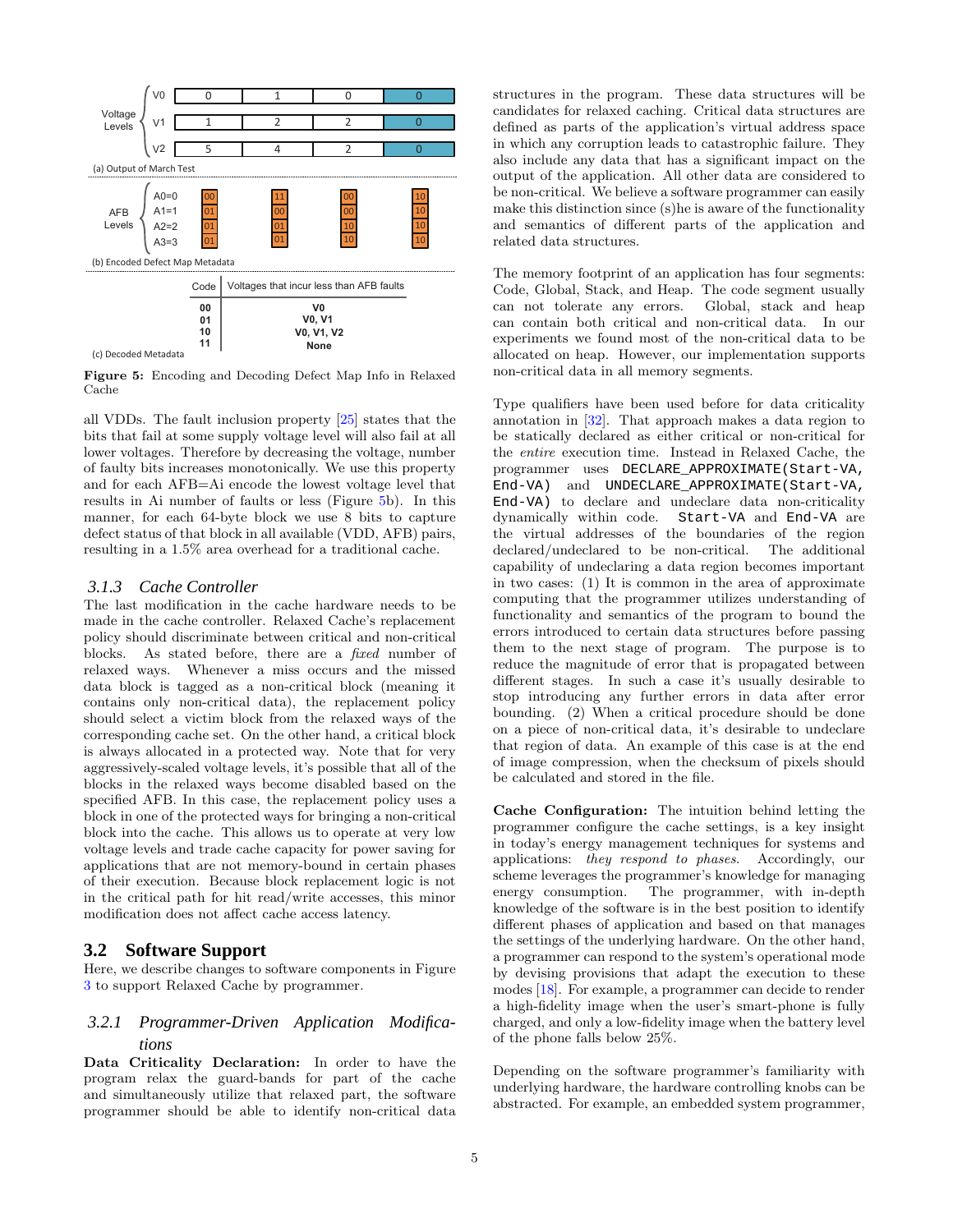<span id="page-5-0"></span>

(c) Decoded Metadata

Figure 5: Encoding and Decoding Defect Map Info in Relaxed Cache

all VDDs. The fault inclusion property [\[25\]](#page-10-27) states that the bits that fail at some supply voltage level will also fail at all lower voltages. Therefore by decreasing the voltage, number of faulty bits increases monotonically. We use this property and for each AFB=Ai encode the lowest voltage level that results in Ai number of faults or less (Figure [5b](#page-5-0)). In this manner, for each 64-byte block we use 8 bits to capture defect status of that block in all available (VDD, AFB) pairs, resulting in a 1.5% area overhead for a traditional cache.

## *3.1.3 Cache Controller*

The last modification in the cache hardware needs to be made in the cache controller. Relaxed Cache's replacement policy should discriminate between critical and non-critical blocks. As stated before, there are a fixed number of relaxed ways. Whenever a miss occurs and the missed data block is tagged as a non-critical block (meaning it contains only non-critical data), the replacement policy should select a victim block from the relaxed ways of the corresponding cache set. On the other hand, a critical block is always allocated in a protected way. Note that for very aggressively-scaled voltage levels, it's possible that all of the blocks in the relaxed ways become disabled based on the specified AFB. In this case, the replacement policy uses a block in one of the protected ways for bringing a non-critical block into the cache. This allows us to operate at very low voltage levels and trade cache capacity for power saving for applications that are not memory-bound in certain phases of their execution. Because block replacement logic is not in the critical path for hit read/write accesses, this minor modification does not affect cache access latency.

## **3.2 Software Support**

Here, we describe changes to software components in Figure [3](#page-4-0) to support Relaxed Cache by programmer.

# *3.2.1 Programmer-Driven Application Modifications*

Data Criticality Declaration: In order to have the program relax the guard-bands for part of the cache and simultaneously utilize that relaxed part, the software programmer should be able to identify non-critical data structures in the program. These data structures will be candidates for relaxed caching. Critical data structures are defined as parts of the application's virtual address space in which any corruption leads to catastrophic failure. They also include any data that has a significant impact on the output of the application. All other data are considered to be non-critical. We believe a software programmer can easily make this distinction since (s)he is aware of the functionality and semantics of different parts of the application and related data structures.

The memory footprint of an application has four segments: Code, Global, Stack, and Heap. The code segment usually can not tolerate any errors. Global, stack and heap can contain both critical and non-critical data. In our experiments we found most of the non-critical data to be allocated on heap. However, our implementation supports non-critical data in all memory segments.

Type qualifiers have been used before for data criticality annotation in [\[32\]](#page-10-15). That approach makes a data region to be statically declared as either critical or non-critical for the entire execution time. Instead in Relaxed Cache, the programmer uses DECLARE\_APPROXIMATE(Start-VA, End-VA) and UNDECLARE\_APPROXIMATE(Start-VA, End-VA) to declare and undeclare data non-criticality dynamically within code. Start-VA and End-VA are the virtual addresses of the boundaries of the region declared/undeclared to be non-critical. The additional capability of undeclaring a data region becomes important in two cases: (1) It is common in the area of approximate computing that the programmer utilizes understanding of functionality and semantics of the program to bound the errors introduced to certain data structures before passing them to the next stage of program. The purpose is to reduce the magnitude of error that is propagated between different stages. In such a case it's usually desirable to stop introducing any further errors in data after error bounding. (2) When a critical procedure should be done on a piece of non-critical data, it's desirable to undeclare that region of data. An example of this case is at the end of image compression, when the checksum of pixels should be calculated and stored in the file.

Cache Configuration: The intuition behind letting the programmer configure the cache settings, is a key insight in today's energy management techniques for systems and applications: they respond to phases. Accordingly, our scheme leverages the programmer's knowledge for managing energy consumption. The programmer, with in-depth knowledge of the software is in the best position to identify different phases of application and based on that manages the settings of the underlying hardware. On the other hand, a programmer can respond to the system's operational mode by devising provisions that adapt the execution to these modes [\[18](#page-10-28)]. For example, a programmer can decide to render a high-fidelity image when the user's smart-phone is fully charged, and only a low-fidelity image when the battery level of the phone falls below 25%.

Depending on the software programmer's familiarity with underlying hardware, the hardware controlling knobs can be abstracted. For example, an embedded system programmer,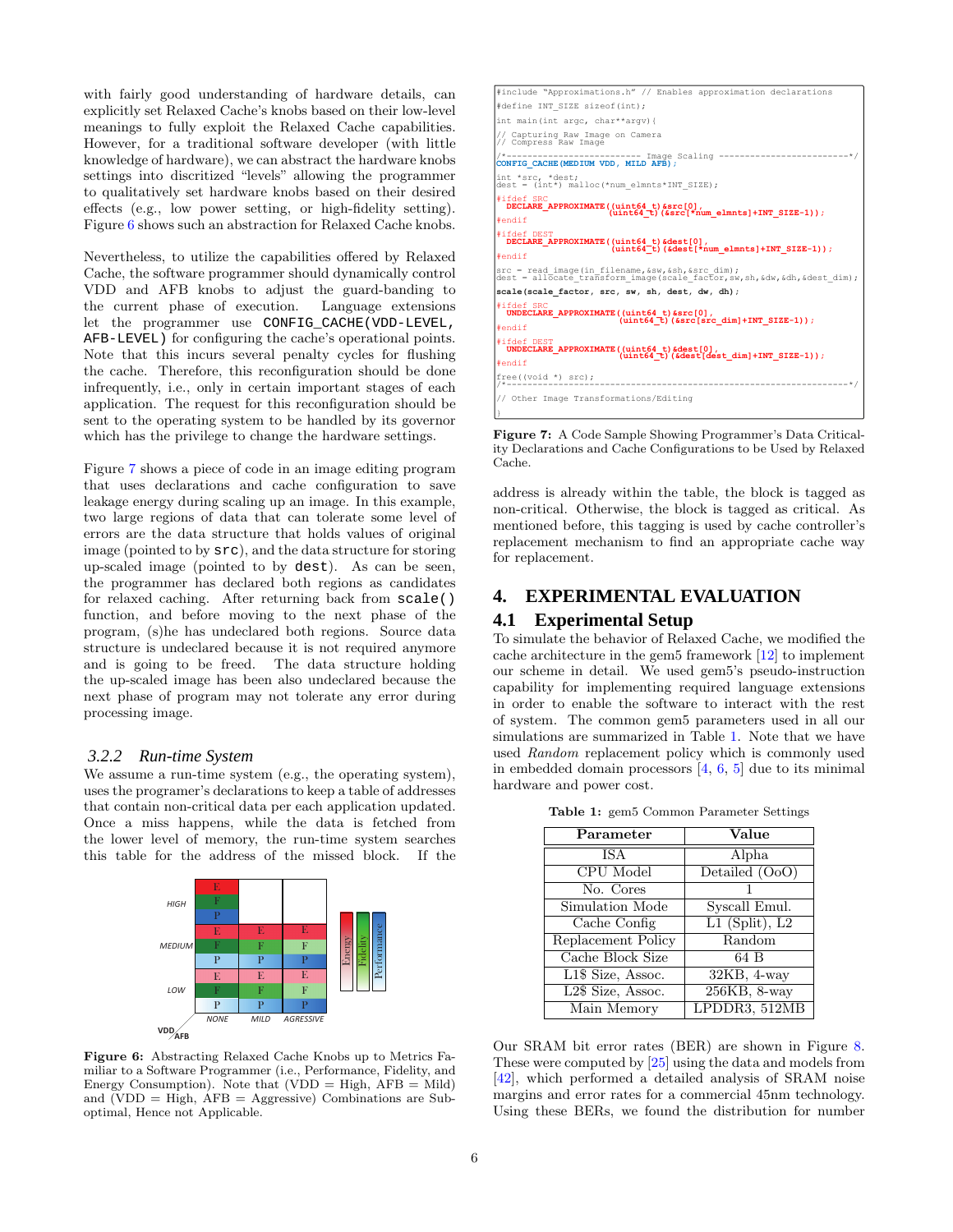with fairly good understanding of hardware details, can explicitly set Relaxed Cache's knobs based on their low-level meanings to fully exploit the Relaxed Cache capabilities. However, for a traditional software developer (with little knowledge of hardware), we can abstract the hardware knobs settings into discritized "levels" allowing the programmer to qualitatively set hardware knobs based on their desired effects (e.g., low power setting, or high-fidelity setting). Figure [6](#page-6-1) shows such an abstraction for Relaxed Cache knobs.

Nevertheless, to utilize the capabilities offered by Relaxed Cache, the software programmer should dynamically control VDD and AFB knobs to adjust the guard-banding to the current phase of execution. let the programmer use CONFIG\_CACHE(VDD-LEVEL, AFB-LEVEL) for configuring the cache's operational points. Note that this incurs several penalty cycles for flushing the cache. Therefore, this reconfiguration should be done infrequently, i.e., only in certain important stages of each application. The request for this reconfiguration should be sent to the operating system to be handled by its governor which has the privilege to change the hardware settings.

Figure [7](#page-6-2) shows a piece of code in an image editing program that uses declarations and cache configuration to save leakage energy during scaling up an image. In this example, two large regions of data that can tolerate some level of errors are the data structure that holds values of original image (pointed to by src), and the data structure for storing up-scaled image (pointed to by dest). As can be seen, the programmer has declared both regions as candidates for relaxed caching. After returning back from scale() function, and before moving to the next phase of the program, (s)he has undeclared both regions. Source data structure is undeclared because it is not required anymore and is going to be freed. The data structure holding the up-scaled image has been also undeclared because the next phase of program may not tolerate any error during processing image.

#### *3.2.2 Run-time System*

We assume a run-time system (e.g., the operating system), uses the programer's declarations to keep a table of addresses that contain non-critical data per each application updated. Once a miss happens, while the data is fetched from the lower level of memory, the run-time system searches this table for the address of the missed block. If the

<span id="page-6-1"></span>

Figure 6: Abstracting Relaxed Cache Knobs up to Metrics Familiar to a Software Programmer (i.e., Performance, Fidelity, and Energy Consumption). Note that  $(VDD = High, AFB = Mild)$ and (VDD = High, AFB = Aggressive) Combinations are Suboptimal, Hence not Applicable.

<span id="page-6-2"></span>

| #include "Approximations.h" // Enables approximation declarations                                                                                                |  |  |  |  |
|------------------------------------------------------------------------------------------------------------------------------------------------------------------|--|--|--|--|
| #define INT SIZE sizeof(int);                                                                                                                                    |  |  |  |  |
| int main (int argc, char**argy) {                                                                                                                                |  |  |  |  |
| // Capturing Raw Image on Camera<br>// Compress Raw Image                                                                                                        |  |  |  |  |
| /*------------------------- Image Scaling ------------------------*/<br>CONFIG CACHE (MEDIUM VDD, MILD AFB) ;                                                    |  |  |  |  |
| int *src, *dest;<br>$dest = (int*)$ malloc(*num elmnts*INT SIZE);                                                                                                |  |  |  |  |
| #ifdef SRC<br>DECLARE APPROXIMATE ((uint64 t) &src[0],<br>$(iint64 t)$ (&src[*num elmnts]+INT SIZE-1));                                                          |  |  |  |  |
| #endif                                                                                                                                                           |  |  |  |  |
| #ifdef DEST<br>DECLARE APPROXIMATE ((uint64 t) & dest[0],<br>$(iint64^-t)$ (&dest[*num elmnts]+INT SIZE-1));                                                     |  |  |  |  |
| #endif                                                                                                                                                           |  |  |  |  |
| src = read image(in filename, &sw, &sh, &src dim);<br>dest = allocate transform image (scale factor, sw, sh, &dw, &dh, &dest dim);                               |  |  |  |  |
| scale(scale factor, src, sw, sh, dest, dw, dh);                                                                                                                  |  |  |  |  |
| #ifdef SRC<br>UNDECLARE APPROXIMATE ((uint64 t) &src[0],<br>$(iint64 \t\t\t\t\t\t\t\t\t\t\t\t\t\t\t\t\t\t\t\t\t\t\t\t\t\t\t\t\t\t+ (ssrc[src dim]+INT SIZE-1));$ |  |  |  |  |
| #endif                                                                                                                                                           |  |  |  |  |
| #ifdef DEST<br>UNDECLARE APPROXIMATE ((uint64 t) & dest[0],<br>$(i$ int64 $t$ ) (&dest[dest dim]+INT SIZE-1));                                                   |  |  |  |  |
| #endif                                                                                                                                                           |  |  |  |  |
| $free((void *) src);$                                                                                                                                            |  |  |  |  |
| // Other Image Transformations/Editing                                                                                                                           |  |  |  |  |
|                                                                                                                                                                  |  |  |  |  |

Figure 7: A Code Sample Showing Programmer's Data Criticality Declarations and Cache Configurations to be Used by Relaxed Cache.

address is already within the table, the block is tagged as non-critical. Otherwise, the block is tagged as critical. As mentioned before, this tagging is used by cache controller's replacement mechanism to find an appropriate cache way for replacement.

## <span id="page-6-0"></span>**4. EXPERIMENTAL EVALUATION**

## **4.1 Experimental Setup**

To simulate the behavior of Relaxed Cache, we modified the cache architecture in the gem5 framework [\[12\]](#page-10-29) to implement our scheme in detail. We used gem5's pseudo-instruction capability for implementing required language extensions in order to enable the software to interact with the rest of system. The common gem5 parameters used in all our simulations are summarized in Table [1.](#page-6-3) Note that we have used Random replacement policy which is commonly used in embedded domain processors [\[4](#page-10-30), [6](#page-10-31), [5\]](#page-10-32) due to its minimal hardware and power cost.

| Parameter                        | Value              |  |  |
|----------------------------------|--------------------|--|--|
| <b>ISA</b>                       | Alpha              |  |  |
| CPU Model                        | Detailed $(OoO)$   |  |  |
| No. Cores                        |                    |  |  |
| Simulation Mode                  | Syscall Emul.      |  |  |
| Cache Config                     | $L1$ (Split), $L2$ |  |  |
| Replacement Policy               | Random             |  |  |
| Cache Block Size                 | 64 B               |  |  |
| $\overline{L1}\$ \$ Size, Assoc. | $32KB$ , 4-way     |  |  |
| L2\$ Size, Assoc.                | 256KB, 8-way       |  |  |
| Main Memory                      | LPDDR3, 512MB      |  |  |

<span id="page-6-3"></span>Table 1: gem5 Common Parameter Settings

Our SRAM bit error rates (BER) are shown in Figure [8.](#page-7-0) These were computed by [\[25\]](#page-10-27) using the data and models from [\[42\]](#page-10-23), which performed a detailed analysis of SRAM noise margins and error rates for a commercial 45nm technology. Using these BERs, we found the distribution for number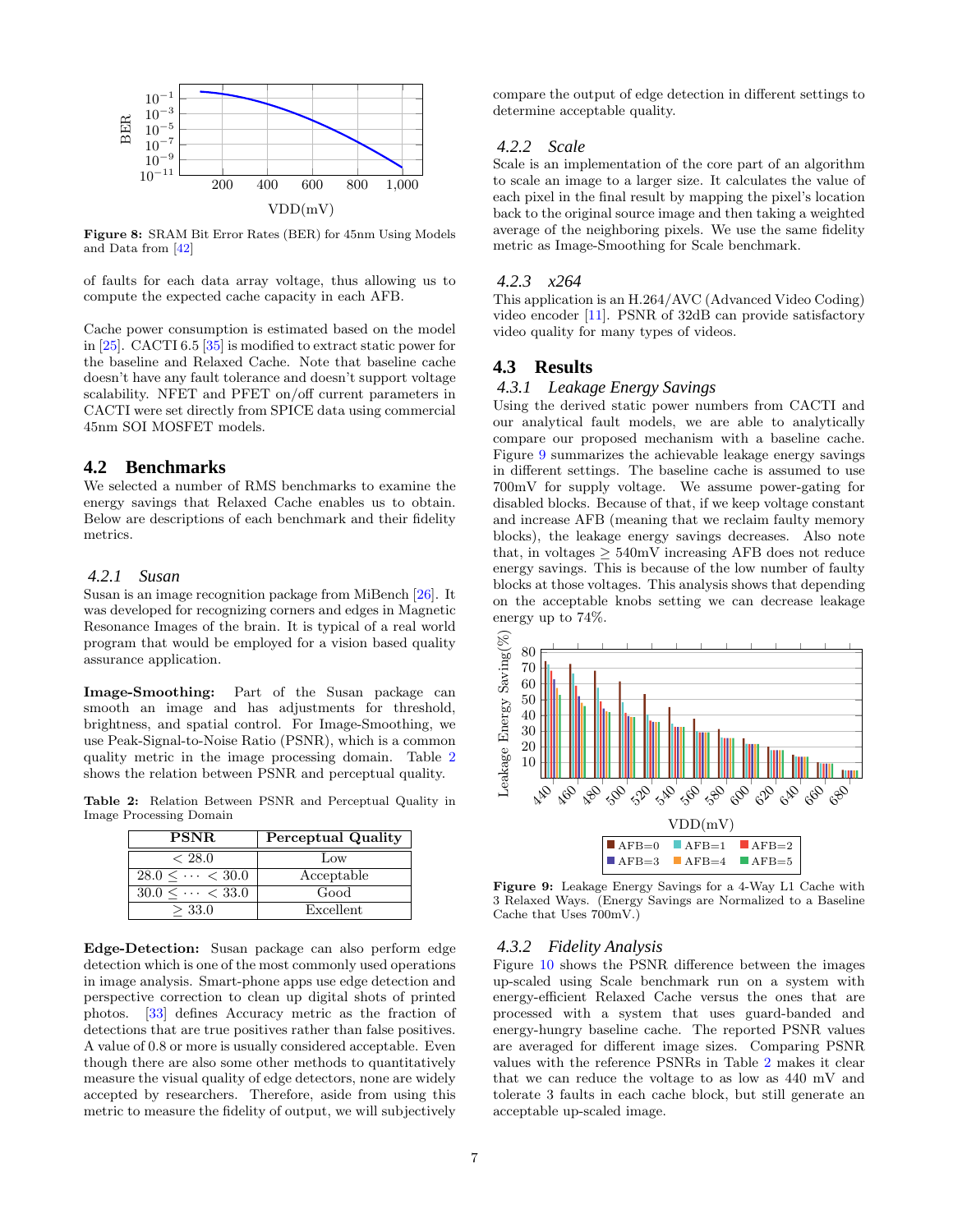<span id="page-7-0"></span>

Figure 8: SRAM Bit Error Rates (BER) for 45nm Using Models and Data from [\[42](#page-10-23)]

of faults for each data array voltage, thus allowing us to compute the expected cache capacity in each AFB.

Cache power consumption is estimated based on the model in [\[25](#page-10-27)]. CACTI 6.5 [\[35\]](#page-10-33) is modified to extract static power for the baseline and Relaxed Cache. Note that baseline cache doesn't have any fault tolerance and doesn't support voltage scalability. NFET and PFET on/off current parameters in CACTI were set directly from SPICE data using commercial 45nm SOI MOSFET models.

## **4.2 Benchmarks**

We selected a number of RMS benchmarks to examine the energy savings that Relaxed Cache enables us to obtain. Below are descriptions of each benchmark and their fidelity metrics.

## *4.2.1 Susan*

Susan is an image recognition package from MiBench [\[26](#page-10-21)]. It was developed for recognizing corners and edges in Magnetic Resonance Images of the brain. It is typical of a real world program that would be employed for a vision based quality assurance application.

Image-Smoothing: Part of the Susan package can smooth an image and has adjustments for threshold, brightness, and spatial control. For Image-Smoothing, we use Peak-Signal-to-Noise Ratio (PSNR), which is a common quality metric in the image processing domain. Table [2](#page-7-1) shows the relation between PSNR and perceptual quality.

<span id="page-7-1"></span>Table 2: Relation Between PSNR and Perceptual Quality in Image Processing Domain

| <b>PSNR</b>                  | Perceptual Quality |
|------------------------------|--------------------|
| < 28.0                       | $_{\text{LOW}}$    |
| $28.0 \leq \cdots \leq 30.0$ | Acceptable         |
| $30.0 \leq \cdots \leq 33.0$ | Good               |
| > 33.0                       | Excellent          |

Edge-Detection: Susan package can also perform edge detection which is one of the most commonly used operations in image analysis. Smart-phone apps use edge detection and perspective correction to clean up digital shots of printed photos. [\[33\]](#page-10-34) defines Accuracy metric as the fraction of detections that are true positives rather than false positives. A value of 0.8 or more is usually considered acceptable. Even though there are also some other methods to quantitatively measure the visual quality of edge detectors, none are widely accepted by researchers. Therefore, aside from using this metric to measure the fidelity of output, we will subjectively compare the output of edge detection in different settings to determine acceptable quality.

# *4.2.2 Scale*

Scale is an implementation of the core part of an algorithm to scale an image to a larger size. It calculates the value of each pixel in the final result by mapping the pixel's location back to the original source image and then taking a weighted average of the neighboring pixels. We use the same fidelity metric as Image-Smoothing for Scale benchmark.

## *4.2.3 x264*

This application is an H.264/AVC (Advanced Video Coding) video encoder [\[11](#page-10-35)]. PSNR of 32dB can provide satisfactory video quality for many types of videos.

## **4.3 Results**

# *4.3.1 Leakage Energy Savings*

Using the derived static power numbers from CACTI and our analytical fault models, we are able to analytically compare our proposed mechanism with a baseline cache. Figure [9](#page-7-2) summarizes the achievable leakage energy savings in different settings. The baseline cache is assumed to use 700mV for supply voltage. We assume power-gating for disabled blocks. Because of that, if we keep voltage constant and increase AFB (meaning that we reclaim faulty memory blocks), the leakage energy savings decreases. Also note that, in voltages  $\geq 540$ mV increasing AFB does not reduce energy savings. This is because of the low number of faulty blocks at those voltages. This analysis shows that depending on the acceptable knobs setting we can decrease leakage energy up to 74%.

<span id="page-7-2"></span>

Figure 9: Leakage Energy Savings for a 4-Way L1 Cache with 3 Relaxed Ways. (Energy Savings are Normalized to a Baseline Cache that Uses 700mV.)

#### *4.3.2 Fidelity Analysis*

Figure [10](#page-8-1) shows the PSNR difference between the images up-scaled using Scale benchmark run on a system with energy-efficient Relaxed Cache versus the ones that are processed with a system that uses guard-banded and energy-hungry baseline cache. The reported PSNR values are averaged for different image sizes. Comparing PSNR values with the reference PSNRs in Table [2](#page-7-1) makes it clear that we can reduce the voltage to as low as 440 mV and tolerate 3 faults in each cache block, but still generate an acceptable up-scaled image.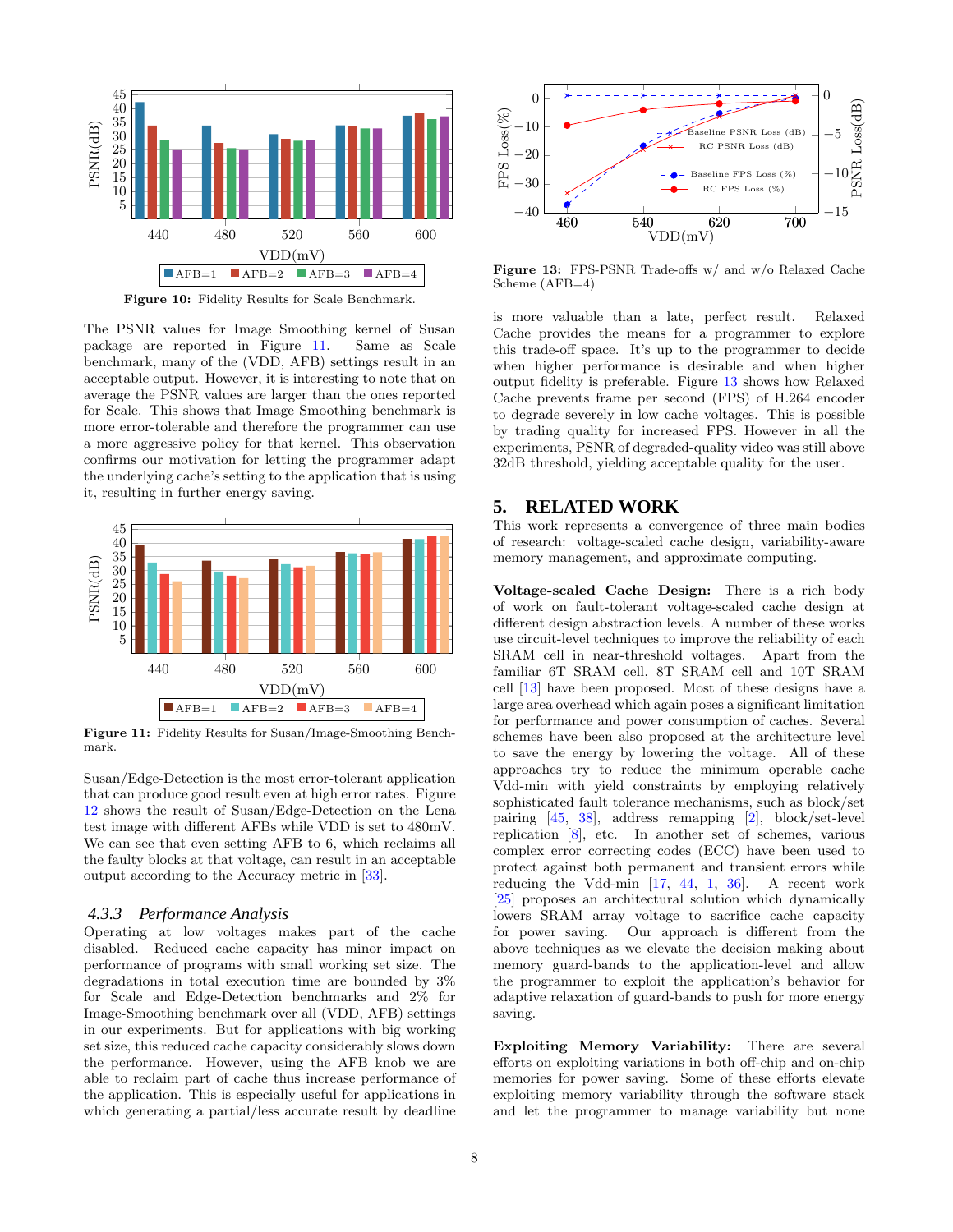<span id="page-8-1"></span>

Figure 10: Fidelity Results for Scale Benchmark.

The PSNR values for Image Smoothing kernel of Susan package are reported in Figure [11.](#page-8-2) Same as Scale benchmark, many of the (VDD, AFB) settings result in an acceptable output. However, it is interesting to note that on average the PSNR values are larger than the ones reported for Scale. This shows that Image Smoothing benchmark is more error-tolerable and therefore the programmer can use a more aggressive policy for that kernel. This observation confirms our motivation for letting the programmer adapt the underlying cache's setting to the application that is using it, resulting in further energy saving.

<span id="page-8-2"></span>

Figure 11: Fidelity Results for Susan/Image-Smoothing Benchmark.

Susan/Edge-Detection is the most error-tolerant application that can produce good result even at high error rates. Figure [12](#page-9-0) shows the result of Susan/Edge-Detection on the Lena test image with different AFBs while VDD is set to 480mV. We can see that even setting AFB to 6, which reclaims all the faulty blocks at that voltage, can result in an acceptable output according to the Accuracy metric in [\[33](#page-10-34)].

## *4.3.3 Performance Analysis*

Operating at low voltages makes part of the cache disabled. Reduced cache capacity has minor impact on performance of programs with small working set size. The degradations in total execution time are bounded by 3% for Scale and Edge-Detection benchmarks and 2% for Image-Smoothing benchmark over all (VDD, AFB) settings in our experiments. But for applications with big working set size, this reduced cache capacity considerably slows down the performance. However, using the AFB knob we are able to reclaim part of cache thus increase performance of the application. This is especially useful for applications in which generating a partial/less accurate result by deadline

<span id="page-8-3"></span>

Figure 13: FPS-PSNR Trade-offs w/ and w/o Relaxed Cache Scheme (AFB=4)

is more valuable than a late, perfect result. Relaxed Cache provides the means for a programmer to explore this trade-off space. It's up to the programmer to decide when higher performance is desirable and when higher output fidelity is preferable. Figure [13](#page-8-3) shows how Relaxed Cache prevents frame per second (FPS) of H.264 encoder to degrade severely in low cache voltages. This is possible by trading quality for increased FPS. However in all the experiments, PSNR of degraded-quality video was still above 32dB threshold, yielding acceptable quality for the user.

# <span id="page-8-0"></span>**5. RELATED WORK**

This work represents a convergence of three main bodies of research: voltage-scaled cache design, variability-aware memory management, and approximate computing.

Voltage-scaled Cache Design: There is a rich body of work on fault-tolerant voltage-scaled cache design at different design abstraction levels. A number of these works use circuit-level techniques to improve the reliability of each SRAM cell in near-threshold voltages. Apart from the familiar 6T SRAM cell, 8T SRAM cell and 10T SRAM cell [\[13](#page-10-36)] have been proposed. Most of these designs have a large area overhead which again poses a significant limitation for performance and power consumption of caches. Several schemes have been also proposed at the architecture level to save the energy by lowering the voltage. All of these approaches try to reduce the minimum operable cache Vdd-min with yield constraints by employing relatively sophisticated fault tolerance mechanisms, such as block/set pairing [\[45](#page-10-7), [38](#page-10-37)], address remapping [\[2\]](#page-10-8), block/set-level replication [\[8\]](#page-10-9), etc. In another set of schemes, various complex error correcting codes (ECC) have been used to protect against both permanent and transient errors while reducing the Vdd-min [\[17](#page-10-38), [44,](#page-10-6) [1,](#page-10-39) [36](#page-10-40)]. A recent work [\[25\]](#page-10-27) proposes an architectural solution which dynamically lowers SRAM array voltage to sacrifice cache capacity for power saving. Our approach is different from the above techniques as we elevate the decision making about memory guard-bands to the application-level and allow the programmer to exploit the application's behavior for adaptive relaxation of guard-bands to push for more energy saving.

Exploiting Memory Variability: There are several efforts on exploiting variations in both off-chip and on-chip memories for power saving. Some of these efforts elevate exploiting memory variability through the software stack and let the programmer to manage variability but none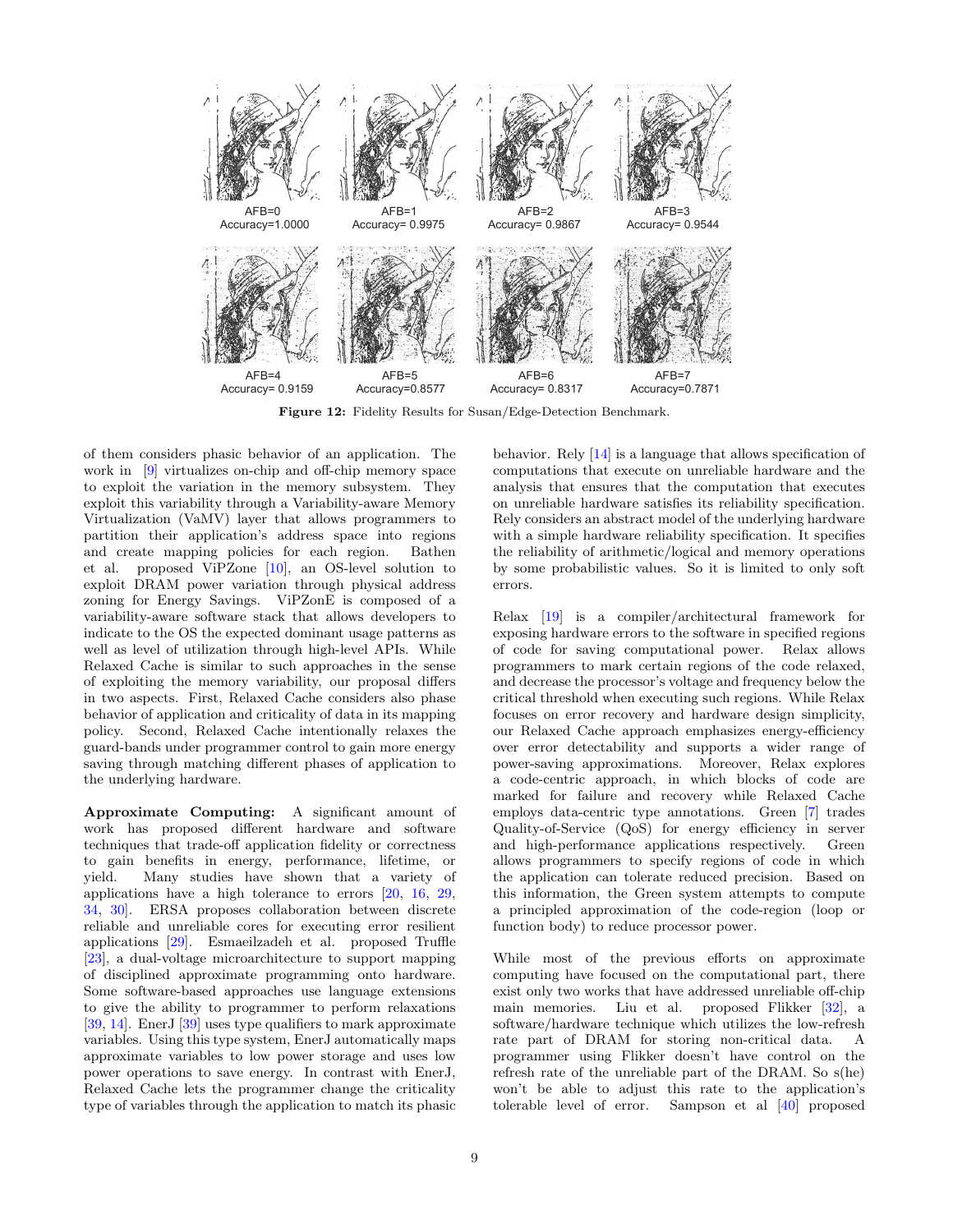<span id="page-9-0"></span>

Figure 12: Fidelity Results for Susan/Edge-Detection Benchmark.

of them considers phasic behavior of an application. The work in [\[9](#page-10-41)] virtualizes on-chip and off-chip memory space to exploit the variation in the memory subsystem. They exploit this variability through a Variability-aware Memory Virtualization (VaMV) layer that allows programmers to partition their application's address space into regions and create mapping policies for each region. Bathen et al. proposed ViPZone [\[10](#page-10-42)], an OS-level solution to exploit DRAM power variation through physical address zoning for Energy Savings. ViPZonE is composed of a variability-aware software stack that allows developers to indicate to the OS the expected dominant usage patterns as well as level of utilization through high-level APIs. While Relaxed Cache is similar to such approaches in the sense of exploiting the memory variability, our proposal differs in two aspects. First, Relaxed Cache considers also phase behavior of application and criticality of data in its mapping policy. Second, Relaxed Cache intentionally relaxes the guard-bands under programmer control to gain more energy saving through matching different phases of application to the underlying hardware.

Approximate Computing: A significant amount of work has proposed different hardware and software techniques that trade-off application fidelity or correctness to gain benefits in energy, performance, lifetime, or yield. Many studies have shown that a variety of applications have a high tolerance to errors [\[20,](#page-10-13) [16,](#page-10-14) [29](#page-10-11), [34](#page-10-43), [30](#page-10-44)]. ERSA proposes collaboration between discrete reliable and unreliable cores for executing error resilient applications [\[29\]](#page-10-11). Esmaeilzadeh et al. proposed Truffle [\[23\]](#page-10-45), a dual-voltage microarchitecture to support mapping of disciplined approximate programming onto hardware. Some software-based approaches use language extensions to give the ability to programmer to perform relaxations [\[39,](#page-10-10) [14\]](#page-10-16). EnerJ [\[39\]](#page-10-10) uses type qualifiers to mark approximate variables. Using this type system, EnerJ automatically maps approximate variables to low power storage and uses low power operations to save energy. In contrast with EnerJ, Relaxed Cache lets the programmer change the criticality type of variables through the application to match its phasic behavior. Rely [\[14\]](#page-10-16) is a language that allows specification of computations that execute on unreliable hardware and the analysis that ensures that the computation that executes on unreliable hardware satisfies its reliability specification. Rely considers an abstract model of the underlying hardware with a simple hardware reliability specification. It specifies the reliability of arithmetic/logical and memory operations by some probabilistic values. So it is limited to only soft errors.

Relax [\[19](#page-10-12)] is a compiler/architectural framework for exposing hardware errors to the software in specified regions of code for saving computational power. Relax allows programmers to mark certain regions of the code relaxed, and decrease the processor's voltage and frequency below the critical threshold when executing such regions. While Relax focuses on error recovery and hardware design simplicity, our Relaxed Cache approach emphasizes energy-efficiency over error detectability and supports a wider range of power-saving approximations. Moreover, Relax explores a code-centric approach, in which blocks of code are marked for failure and recovery while Relaxed Cache employs data-centric type annotations. Green [\[7\]](#page-10-46) trades Quality-of-Service (QoS) for energy efficiency in server and high-performance applications respectively. Green allows programmers to specify regions of code in which the application can tolerate reduced precision. Based on this information, the Green system attempts to compute a principled approximation of the code-region (loop or function body) to reduce processor power.

While most of the previous efforts on approximate computing have focused on the computational part, there exist only two works that have addressed unreliable off-chip main memories. Liu et al. proposed Flikker [\[32\]](#page-10-15), a software/hardware technique which utilizes the low-refresh rate part of DRAM for storing non-critical data. A programmer using Flikker doesn't have control on the refresh rate of the unreliable part of the DRAM. So s(he) won't be able to adjust this rate to the application's tolerable level of error. Sampson et al [\[40](#page-10-17)] proposed